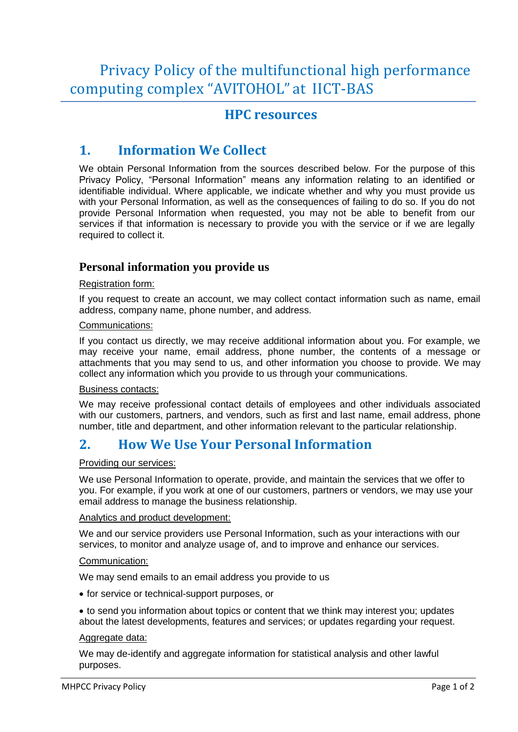Privacy Policy of the multifunctional high performance computing complex "AVITOHOL" at IICT-BAS

## **HPC resources**

# **1. Information We Collect**

We obtain Personal Information from the sources described below. For the purpose of this Privacy Policy, "Personal Information" means any information relating to an identified or identifiable individual. Where applicable, we indicate whether and why you must provide us with your Personal Information, as well as the consequences of failing to do so. If you do not provide Personal Information when requested, you may not be able to benefit from our services if that information is necessary to provide you with the service or if we are legally required to collect it.

### **Personal information you provide us**

#### Registration form:

If you request to create an account, we may collect contact information such as name, email address, company name, phone number, and address.

#### Communications:

If you contact us directly, we may receive additional information about you. For example, we may receive your name, email address, phone number, the contents of a message or attachments that you may send to us, and other information you choose to provide. We may collect any information which you provide to us through your communications.

#### Business contacts:

We may receive professional contact details of employees and other individuals associated with our customers, partners, and vendors, such as first and last name, email address, phone number, title and department, and other information relevant to the particular relationship.

### **2. How We Use Your Personal Information**

#### Providing our services:

We use Personal Information to operate, provide, and maintain the services that we offer to you. For example, if you work at one of our customers, partners or vendors, we may use your email address to manage the business relationship.

#### Analytics and product development:

We and our service providers use Personal Information, such as your interactions with our services, to monitor and analyze usage of, and to improve and enhance our services.

#### Communication:

We may send emails to an email address you provide to us

for service or technical-support purposes, or

• to send you information about topics or content that we think may interest you; updates about the latest developments, features and services; or updates regarding your request.

#### Aggregate data:

We may de-identify and aggregate information for statistical analysis and other lawful purposes.